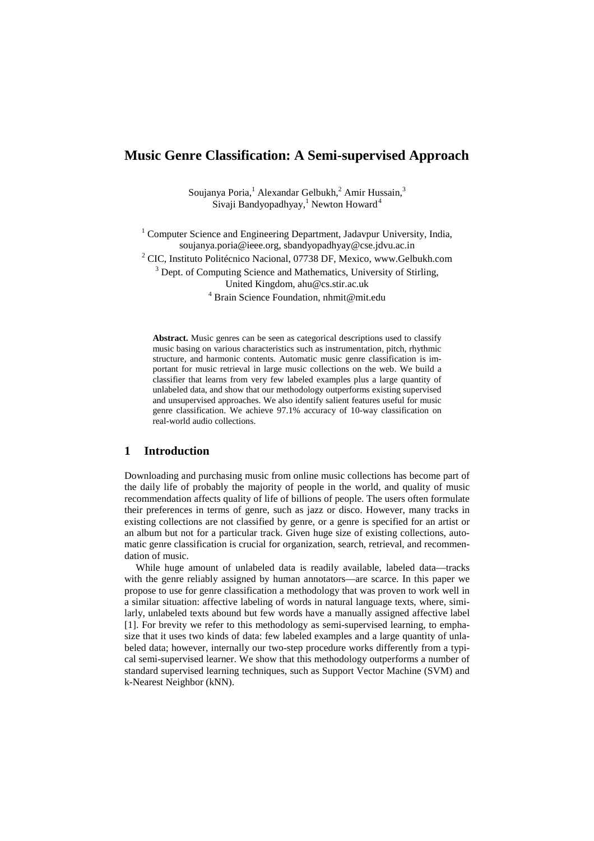# **Music Genre Classification: A Semi-supervised Approach**

Soujanya Poria,<sup>1</sup> Alexandar Gelbukh,<sup>2</sup> Amir Hussain,<sup>3</sup> Sivaji Bandyopadhyay,<sup>1</sup> Newton Howard<sup>4</sup>

<sup>1</sup> Computer Science and Engineering Department, Jadavpur University, India, soujanya.poria@ieee.org, sbandyopadhyay@cse.jdvu.ac.in

<sup>2</sup> CIC, Instituto Politécnico Nacional, 07738 DF, Mexico, www.Gelbukh.com

<sup>3</sup> Dept. of Computing Science and Mathematics, University of Stirling,

United Kingdom, ahu@cs.stir.ac.uk

4 Brain Science Foundation, nhmit@mit.edu

**Abstract.** Music genres can be seen as categorical descriptions used to classify music basing on various characteristics such as instrumentation, pitch, rhythmic structure, and harmonic contents. Automatic music genre classification is important for music retrieval in large music collections on the web. We build a classifier that learns from very few labeled examples plus a large quantity of unlabeled data, and show that our methodology outperforms existing supervised and unsupervised approaches. We also identify salient features useful for music genre classification. We achieve 97.1% accuracy of 10-way classification on real-world audio collections.

#### **1 Introduction**

Downloading and purchasing music from online music collections has become part of the daily life of probably the majority of people in the world, and quality of music recommendation affects quality of life of billions of people. The users often formulate their preferences in terms of genre, such as jazz or disco. However, many tracks in existing collections are not classified by genre, or a genre is specified for an artist or an album but not for a particular track. Given huge size of existing collections, automatic genre classification is crucial for organization, search, retrieval, and recommendation of music.

While huge amount of unlabeled data is readily available, labeled data—tracks with the genre reliably assigned by human annotators—are scarce. In this paper we propose to use for genre classification a methodology that was proven to work well in a similar situation: affective labeling of words in natural language texts, where, similarly, unlabeled texts abound but few words have a manually assigned affective label [1]. For brevity we refer to this methodology as semi-supervised learning, to emphasize that it uses two kinds of data: few labeled examples and a large quantity of unlabeled data; however, internally our two-step procedure works differently from a typical semi-supervised learner. We show that this methodology outperforms a number of standard supervised learning techniques, such as Support Vector Machine (SVM) and k-Nearest Neighbor (kNN).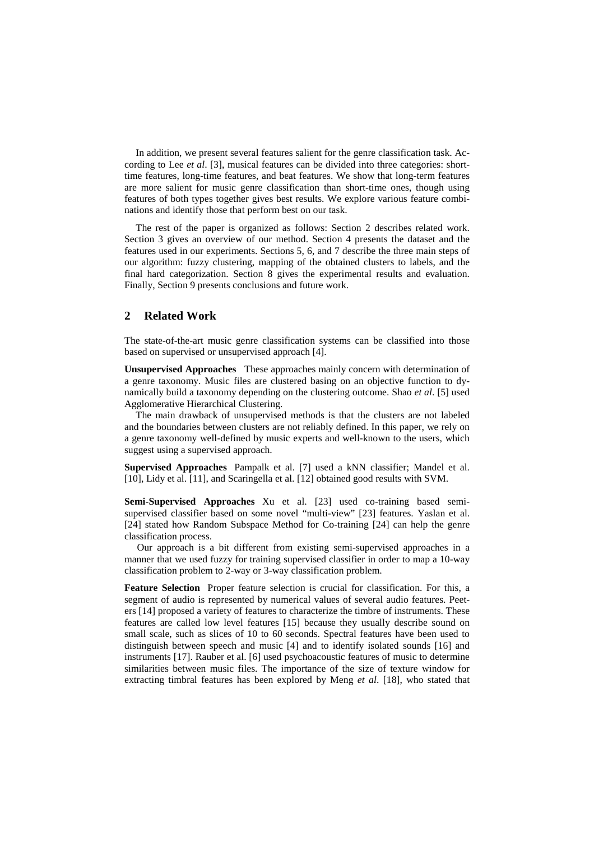In addition, we present several features salient for the genre classification task. According to Lee *et al*. [3], musical features can be divided into three categories: shorttime features, long-time features, and beat features. We show that long-term features are more salient for music genre classification than short-time ones, though using features of both types together gives best results. We explore various feature combinations and identify those that perform best on our task.

The rest of the paper is organized as follows: Section 2 describes related work. Section 3 gives an overview of our method. Section 4 presents the dataset and the features used in our experiments. Sections 5, 6, and 7 describe the three main steps of our algorithm: fuzzy clustering, mapping of the obtained clusters to labels, and the final hard categorization. Section 8 gives the experimental results and evaluation. Finally, Section 9 presents conclusions and future work.

## **2 Related Work**

The state-of-the-art music genre classification systems can be classified into those based on supervised or unsupervised approach [4].

**Unsupervised Approaches** These approaches mainly concern with determination of a genre taxonomy. Music files are clustered basing on an objective function to dynamically build a taxonomy depending on the clustering outcome. Shao *et al*. [5] used Agglomerative Hierarchical Clustering.

The main drawback of unsupervised methods is that the clusters are not labeled and the boundaries between clusters are not reliably defined. In this paper, we rely on a genre taxonomy well-defined by music experts and well-known to the users, which suggest using a supervised approach.

**Supervised Approaches** Pampalk et al. [7] used a kNN classifier; Mandel et al. [10], Lidy et al. [11], and Scaringella et al. [12] obtained good results with SVM.

**Semi-Supervised Approaches** Xu et al. [23] used co-training based semisupervised classifier based on some novel "multi-view" [23] features. Yaslan et al. [24] stated how Random Subspace Method for Co-training [24] can help the genre classification process.

 Our approach is a bit different from existing semi-supervised approaches in a manner that we used fuzzy for training supervised classifier in order to map a 10-way classification problem to 2-way or 3-way classification problem.

**Feature Selection** Proper feature selection is crucial for classification. For this, a segment of audio is represented by numerical values of several audio features. Peeters [14] proposed a variety of features to characterize the timbre of instruments. These features are called low level features [15] because they usually describe sound on small scale, such as slices of 10 to 60 seconds. Spectral features have been used to distinguish between speech and music [4] and to identify isolated sounds [16] and instruments [17]. Rauber et al. [6] used psychoacoustic features of music to determine similarities between music files. The importance of the size of texture window for extracting timbral features has been explored by Meng *et al*. [18], who stated that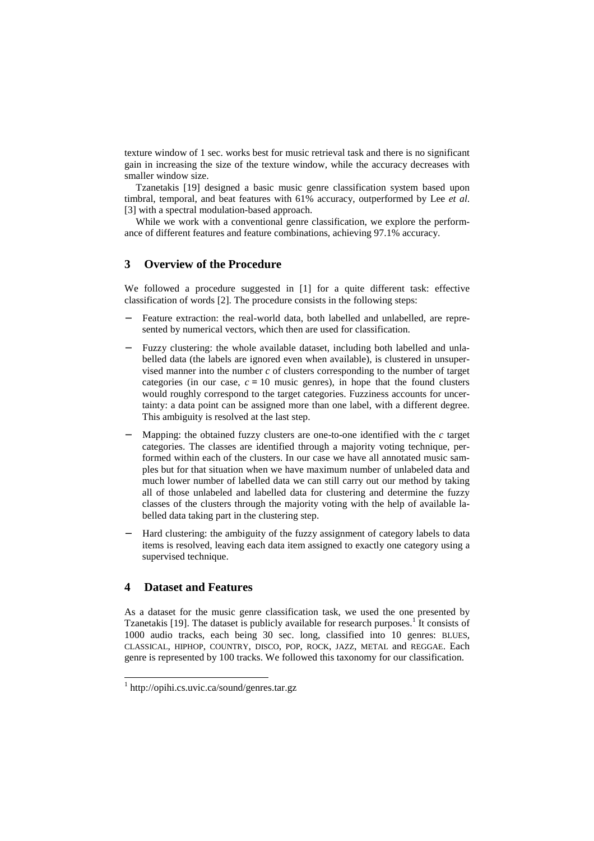texture window of 1 sec. works best for music retrieval task and there is no significant gain in increasing the size of the texture window, while the accuracy decreases with smaller window size.

Tzanetakis [19] designed a basic music genre classification system based upon timbral, temporal, and beat features with 61% accuracy, outperformed by Lee *et al*. [3] with a spectral modulation-based approach.

While we work with a conventional genre classification, we explore the performance of different features and feature combinations, achieving 97.1% accuracy.

## **3 Overview of the Procedure**

We followed a procedure suggested in [1] for a quite different task: effective classification of words [2]. The procedure consists in the following steps:

- Feature extraction: the real-world data, both labelled and unlabelled, are represented by numerical vectors, which then are used for classification.
- − Fuzzy clustering: the whole available dataset, including both labelled and unlabelled data (the labels are ignored even when available), is clustered in unsupervised manner into the number *c* of clusters corresponding to the number of target categories (in our case,  $c = 10$  music genres), in hope that the found clusters would roughly correspond to the target categories. Fuzziness accounts for uncertainty: a data point can be assigned more than one label, with a different degree. This ambiguity is resolved at the last step.
- − Mapping: the obtained fuzzy clusters are one-to-one identified with the *c* target categories. The classes are identified through a majority voting technique, performed within each of the clusters. In our case we have all annotated music samples but for that situation when we have maximum number of unlabeled data and much lower number of labelled data we can still carry out our method by taking all of those unlabeled and labelled data for clustering and determine the fuzzy classes of the clusters through the majority voting with the help of available labelled data taking part in the clustering step.
- Hard clustering: the ambiguity of the fuzzy assignment of category labels to data items is resolved, leaving each data item assigned to exactly one category using a supervised technique.

## **4 Dataset and Features**

-

As a dataset for the music genre classification task, we used the one presented by Tzanetakis [19]. The dataset is publicly available for research purposes.<sup>1</sup> It consists of 1000 audio tracks, each being 30 sec. long, classified into 10 genres: BLUES, CLASSICAL, HIPHOP, COUNTRY, DISCO, POP, ROCK, JAZZ, METAL and REGGAE. Each genre is represented by 100 tracks. We followed this taxonomy for our classification.

<sup>1</sup> http://opihi.cs.uvic.ca/sound/genres.tar.gz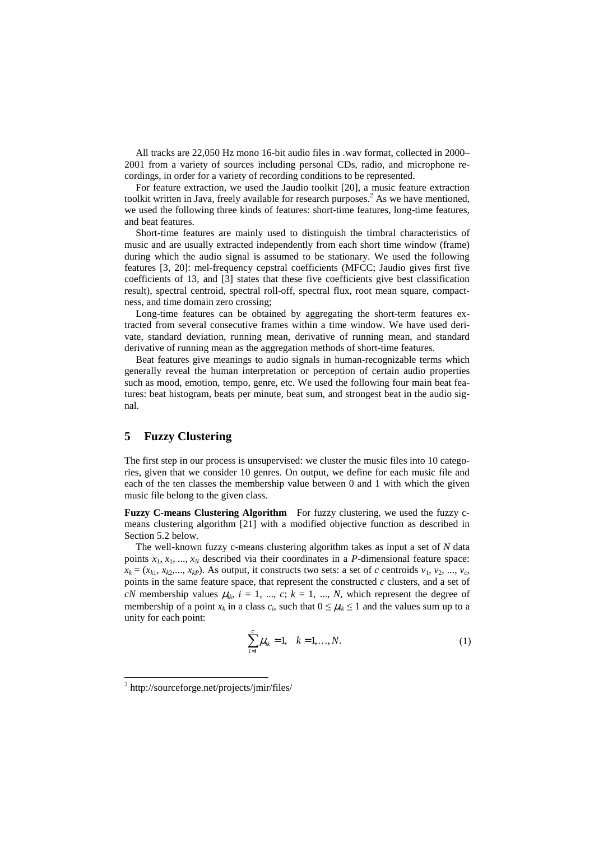All tracks are 22,050 Hz mono 16-bit audio files in .wav format, collected in 2000– 2001 from a variety of sources including personal CDs, radio, and microphone recordings, in order for a variety of recording conditions to be represented.

For feature extraction, we used the Jaudio toolkit [20], a music feature extraction toolkit written in Java, freely available for research purposes.<sup>2</sup> As we have mentioned, we used the following three kinds of features: short-time features, long-time features, and beat features.

Short-time features are mainly used to distinguish the timbral characteristics of music and are usually extracted independently from each short time window (frame) during which the audio signal is assumed to be stationary. We used the following features [3, 20]: mel-frequency cepstral coefficients (MFCC; Jaudio gives first five coefficients of 13, and [3] states that these five coefficients give best classification result), spectral centroid, spectral roll-off, spectral flux, root mean square, compactness, and time domain zero crossing;

Long-time features can be obtained by aggregating the short-term features extracted from several consecutive frames within a time window. We have used derivate, standard deviation, running mean, derivative of running mean, and standard derivative of running mean as the aggregation methods of short-time features.

Beat features give meanings to audio signals in human-recognizable terms which generally reveal the human interpretation or perception of certain audio properties such as mood, emotion, tempo, genre, etc. We used the following four main beat features: beat histogram, beats per minute, beat sum, and strongest beat in the audio signal.

#### **5 Fuzzy Clustering**

The first step in our process is unsupervised: we cluster the music files into 10 categories, given that we consider 10 genres. On output, we define for each music file and each of the ten classes the membership value between 0 and 1 with which the given music file belong to the given class.

**Fuzzy C-means Clustering Algorithm** For fuzzy clustering, we used the fuzzy cmeans clustering algorithm [21] with a modified objective function as described in Section 5.2 below.

The well-known fuzzy c-means clustering algorithm takes as input a set of *N* data points  $x_1, x_1, \ldots, x_N$  described via their coordinates in a *P*-dimensional feature space:  $x_k = (x_{k1}, x_{k2},..., x_{kp})$ . As output, it constructs two sets: a set of *c* centroids  $v_1, v_2, ..., v_c$ points in the same feature space, that represent the constructed *c* clusters, and a set of *cN* membership values  $\mu_{ik}$ ,  $i = 1, ..., c$ ;  $k = 1, ..., N$ , which represent the degree of membership of a point  $x_k$  in a class  $c_i$ , such that  $0 \leq \mu_k \leq 1$  and the values sum up to a unity for each point:

$$
\sum_{i=1}^{c} \mu_{ik} = 1, \quad k = 1, ..., N.
$$
 (1)

-

<sup>2</sup> http://sourceforge.net/projects/jmir/files/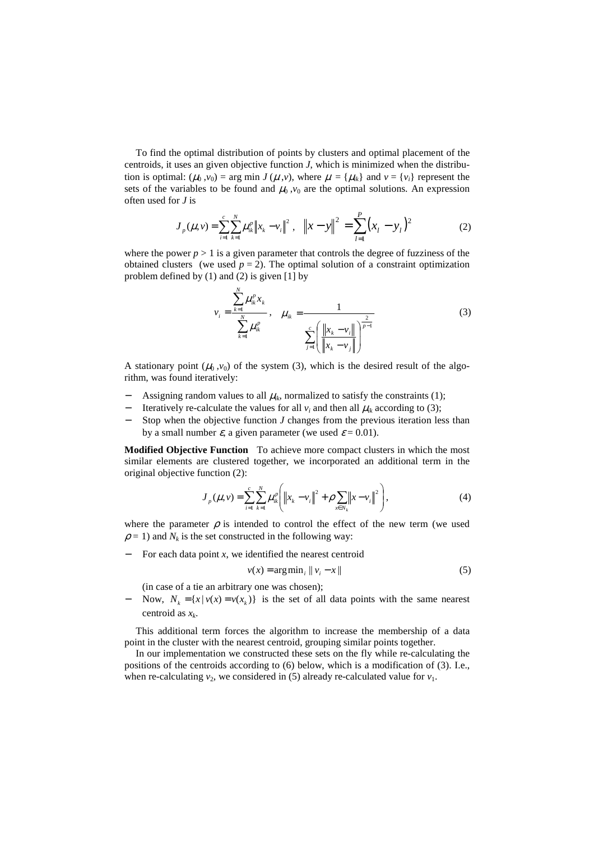To find the optimal distribution of points by clusters and optimal placement of the centroids, it uses an given objective function *J*, which is minimized when the distribution is optimal:  $(\mu_0, v_0) = \arg \min J(\mu, v)$ , where  $\mu = {\mu_i}$  and  $v = {v_i}$  represent the sets of the variables to be found and  $\mu_0, v_0$  are the optimal solutions. An expression often used for *J* is

$$
J_p(\mu, \nu) = \sum_{i=1}^{c} \sum_{k=1}^{N} \mu_{ik}^p \|x_k - v_i\|^2, \quad \|x - y\|^2 = \sum_{l=1}^{P} (x_l - y_l)^2 \tag{2}
$$

where the power  $p > 1$  is a given parameter that controls the degree of fuzziness of the obtained clusters (we used  $p = 2$ ). The optimal solution of a constraint optimization problem defined by (1) and (2) is given [1] by

$$
v_{i} = \frac{\sum_{k=1}^{N} \mu_{ik}^{p} x_{k}}{\sum_{k=1}^{N} \mu_{ik}^{p}}, \quad \mu_{ik} = \frac{1}{\sum_{j=1}^{c} \left( \frac{\left\| x_{k} - v_{i} \right\|}{\left\| x_{k} - v_{j} \right\|} \right)^{\frac{2}{p-1}}}
$$
(3)

A stationary point  $(\mu_0, v_0)$  of the system (3), which is the desired result of the algorithm, was found iteratively:

- Assigning random values to all  $\mu_{ik}$ , normalized to satisfy the constraints (1);
- $-$  Iteratively re-calculate the values for all  $v_i$  and then all  $\mu_{ik}$  according to (3);
- Stop when the objective function *J* changes from the previous iteration less than by a small number  $\varepsilon$ , a given parameter (we used  $\varepsilon = 0.01$ ).

**Modified Objective Function** To achieve more compact clusters in which the most similar elements are clustered together, we incorporated an additional term in the original objective function (2):

$$
J_{p}(\mu, \nu) = \sum_{i=1}^{c} \sum_{k=1}^{N} \mu_{ik}^{p} \left( \left\| x_{k} - v_{i} \right\|^{2} + \rho \sum_{x \in N_{k}} \left\| x - v_{i} \right\|^{2} \right), \tag{4}
$$

where the parameter  $\rho$  is intended to control the effect of the new term (we used  $\rho = 1$ ) and  $N_k$  is the set constructed in the following way:

For each data point  $x$ , we identified the nearest centroid

*N*

$$
v(x) = \arg\min_{i} \|v_i - x\|
$$
 (5)

(in case of a tie an arbitrary one was chosen);

− Now,  $N_k = \{x \mid v(x) = v(x_k)\}\$  is the set of all data points with the same nearest centroid as *x<sup>k</sup>* .

This additional term forces the algorithm to increase the membership of a data point in the cluster with the nearest centroid, grouping similar points together.

In our implementation we constructed these sets on the fly while re-calculating the positions of the centroids according to (6) below, which is a modification of (3). I.e., when re-calculating  $v_2$ , we considered in (5) already re-calculated value for  $v_1$ .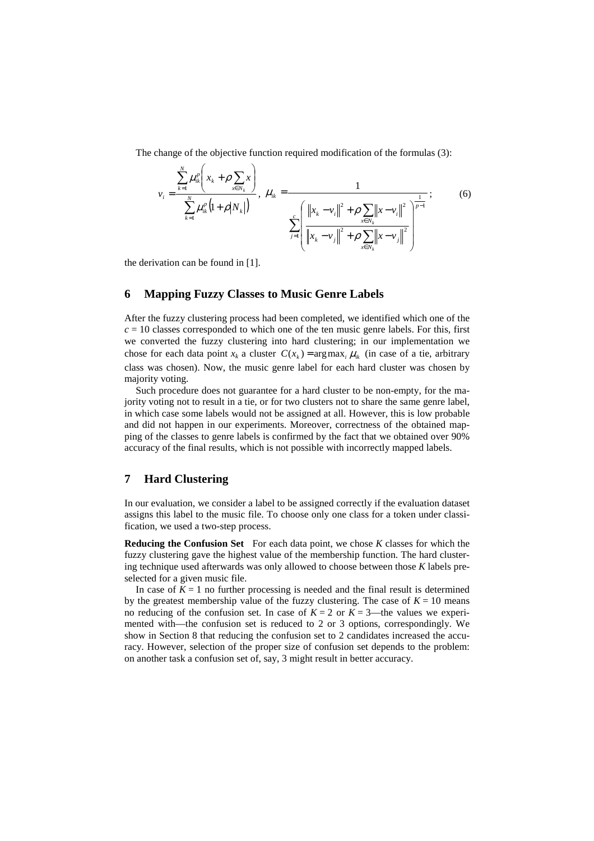The change of the objective function required modification of the formulas (3):

$$
v_{i} = \frac{\sum_{k=1}^{N} \mu_{ik}^{p} \left(x_{k} + \rho \sum_{x \in N_{k}} x\right)}{\sum_{k=1}^{N} \mu_{ik}^{p} \left(1 + \rho \middle| N_{k}\right)}, \quad \mu_{ik} = \frac{1}{\sum_{j=1}^{c} \left(\frac{\left\|x_{k} - v_{i}\right\|^{2} + \rho \sum_{x \in N_{k}} \left\|x - v_{i}\right\|^{2}}{\left\|x_{k} - v_{j}\right\|^{2} + \rho \sum_{x \in N_{k}} \left\|x - v_{j}\right\|^{2}}\right)^{\frac{1}{p-1}}};
$$
(6)

the derivation can be found in [1].

#### **6 Mapping Fuzzy Classes to Music Genre Labels**

After the fuzzy clustering process had been completed, we identified which one of the  $c = 10$  classes corresponded to which one of the ten music genre labels. For this, first we converted the fuzzy clustering into hard clustering; in our implementation we chose for each data point  $x_k$  a cluster  $C(x_k) = \arg \max_i \mu_k$  (in case of a tie, arbitrary class was chosen). Now, the music genre label for each hard cluster was chosen by majority voting.

Such procedure does not guarantee for a hard cluster to be non-empty, for the majority voting not to result in a tie, or for two clusters not to share the same genre label, in which case some labels would not be assigned at all. However, this is low probable and did not happen in our experiments. Moreover, correctness of the obtained mapping of the classes to genre labels is confirmed by the fact that we obtained over 90% accuracy of the final results, which is not possible with incorrectly mapped labels.

#### **7 Hard Clustering**

In our evaluation, we consider a label to be assigned correctly if the evaluation dataset assigns this label to the music file. To choose only one class for a token under classification, we used a two-step process.

**Reducing the Confusion Set** For each data point, we chose *K* classes for which the fuzzy clustering gave the highest value of the membership function. The hard clustering technique used afterwards was only allowed to choose between those *K* labels preselected for a given music file.

In case of  $K = 1$  no further processing is needed and the final result is determined by the greatest membership value of the fuzzy clustering. The case of  $K = 10$  means no reducing of the confusion set. In case of  $K = 2$  or  $K = 3$ —the values we experimented with—the confusion set is reduced to 2 or 3 options, correspondingly. We show in Section 8 that reducing the confusion set to 2 candidates increased the accuracy. However, selection of the proper size of confusion set depends to the problem: on another task a confusion set of, say, 3 might result in better accuracy.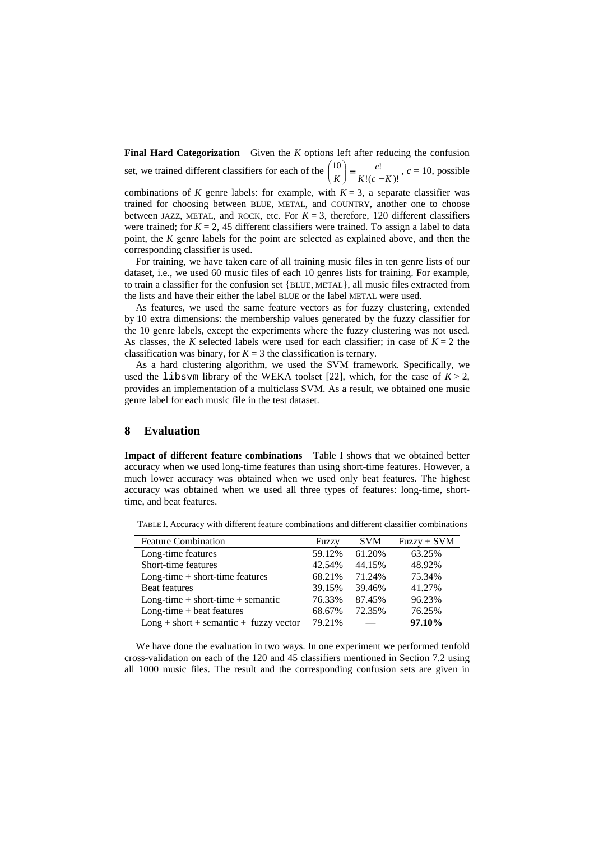**Final Hard Categorization** Given the *K* options left after reducing the confusion set, we trained different classifiers for each of the  $\binom{10}{K} = \frac{C!}{K!(c-K)!}$  $10$   $c!$  $K!(c-K)$ *c*  $\begin{bmatrix} 10 \\ K \end{bmatrix} = \frac{C!}{K!(c-1)!}$ J ℩  $\overline{\phantom{a}}$ ∖  $\binom{10}{ } = \frac{c!}{ }$ ,  $c = 10$ , possible

combinations of *K* genre labels: for example, with  $K = 3$ , a separate classifier was trained for choosing between BLUE, METAL, and COUNTRY, another one to choose between JAZZ, METAL, and ROCK, etc. For  $K = 3$ , therefore, 120 different classifiers were trained; for  $K = 2$ , 45 different classifiers were trained. To assign a label to data point, the *K* genre labels for the point are selected as explained above, and then the corresponding classifier is used.

For training, we have taken care of all training music files in ten genre lists of our dataset, i.e., we used 60 music files of each 10 genres lists for training. For example, to train a classifier for the confusion set {BLUE, METAL}, all music files extracted from the lists and have their either the label BLUE or the label METAL were used.

As features, we used the same feature vectors as for fuzzy clustering, extended by 10 extra dimensions: the membership values generated by the fuzzy classifier for the 10 genre labels, except the experiments where the fuzzy clustering was not used. As classes, the *K* selected labels were used for each classifier; in case of  $K = 2$  the classification was binary, for  $K = 3$  the classification is ternary.

As a hard clustering algorithm, we used the SVM framework. Specifically, we used the libsvm library of the WEKA toolset [22], which, for the case of  $K > 2$ , provides an implementation of a multiclass SVM. As a result, we obtained one music genre label for each music file in the test dataset.

#### **8 Evaluation**

**Impact of different feature combinations** Table I shows that we obtained better accuracy when we used long-time features than using short-time features. However, a much lower accuracy was obtained when we used only beat features. The highest accuracy was obtained when we used all three types of features: long-time, shorttime, and beat features.

| <b>Feature Combination</b>               | Fuzzy  | <b>SVM</b> | $Fuzzy + SVM$ |
|------------------------------------------|--------|------------|---------------|
| Long-time features                       | 59.12% | 61.20%     | 63.25%        |
| Short-time features                      | 42.54% | 44.15%     | 48.92%        |
| $Long-time + short-time features$        | 68.21% | 71.24%     | 75.34%        |
| <b>Beat features</b>                     | 39.15% | 39.46%     | 41.27%        |
| $Long-time + short-time + semantic$      | 76.33% | 87.45%     | 96.23%        |
| $Long-time + beat features$              | 68.67% | 72.35%     | 76.25%        |
| $Long + short + semantic + fuzzy vector$ | 79.21% |            | 97.10%        |

TABLE I. Accuracy with different feature combinations and different classifier combinations

We have done the evaluation in two ways. In one experiment we performed tenfold cross-validation on each of the 120 and 45 classifiers mentioned in Section 7.2 using all 1000 music files. The result and the corresponding confusion sets are given in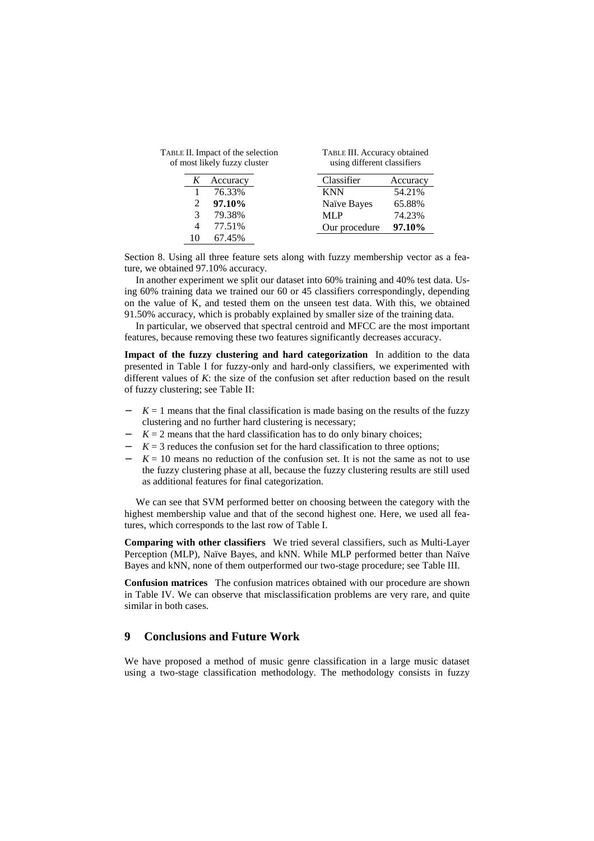|   | TABLE II. Impact of the selection<br>of most likely fuzzy cluster |               | TABLE III. Accuracy obtained<br>using different classifiers |  |  |  |  |  |  |  |
|---|-------------------------------------------------------------------|---------------|-------------------------------------------------------------|--|--|--|--|--|--|--|
| K | Accuracy                                                          | Classifier    | Accuracy                                                    |  |  |  |  |  |  |  |
|   | 76.33%                                                            | <b>KNN</b>    | 54.21%                                                      |  |  |  |  |  |  |  |
|   | 97.10%                                                            | Naïve Bayes   | 65.88%                                                      |  |  |  |  |  |  |  |
| 3 | 79.38%                                                            | MLP           | 74.23%                                                      |  |  |  |  |  |  |  |
| 4 | 77.51%                                                            | Our procedure | 97.10%                                                      |  |  |  |  |  |  |  |
|   | 67.45%                                                            |               |                                                             |  |  |  |  |  |  |  |

Section 8. Using all three feature sets along with fuzzy membership vector as a feature, we obtained 97.10% accuracy.

In another experiment we split our dataset into 60% training and 40% test data. Using 60% training data we trained our 60 or 45 classifiers correspondingly, depending on the value of K, and tested them on the unseen test data. With this, we obtained 91.50% accuracy, which is probably explained by smaller size of the training data.

In particular, we observed that spectral centroid and MFCC are the most important features, because removing these two features significantly decreases accuracy.

**Impact of the fuzzy clustering and hard categorization** In addition to the data presented in Table I for fuzzy-only and hard-only classifiers, we experimented with different values of *K*: the size of the confusion set after reduction based on the result of fuzzy clustering; see Table II:

- $K = 1$  means that the final classification is made basing on the results of the fuzzy clustering and no further hard clustering is necessary;
- $K = 2$  means that the hard classification has to do only binary choices;
- − *K* = 3 reduces the confusion set for the hard classification to three options;
- $K = 10$  means no reduction of the confusion set. It is not the same as not to use the fuzzy clustering phase at all, because the fuzzy clustering results are still used as additional features for final categorization.

We can see that SVM performed better on choosing between the category with the highest membership value and that of the second highest one. Here, we used all features, which corresponds to the last row of Table I.

**Comparing with other classifiers** We tried several classifiers, such as Multi-Layer Perception (MLP), Naïve Bayes, and kNN. While MLP performed better than Naïve Bayes and kNN, none of them outperformed our two-stage procedure; see Table III.

**Confusion matrices** The confusion matrices obtained with our procedure are shown in Table IV. We can observe that misclassification problems are very rare, and quite similar in both cases.

### **9 Conclusions and Future Work**

We have proposed a method of music genre classification in a large music dataset using a two-stage classification methodology. The methodology consists in fuzzy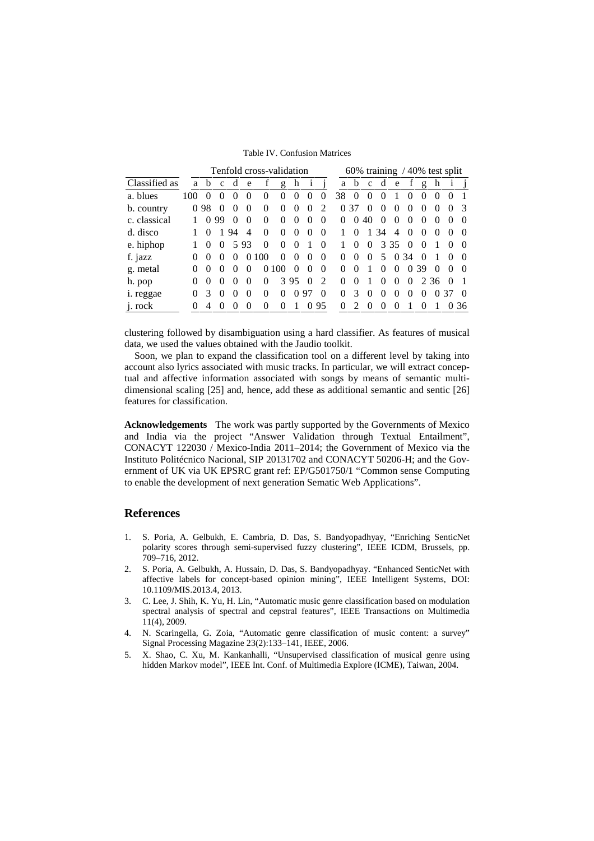Table IV. Confusion Matrices

|               | Tenfold cross-validation |          |              |          |                |          |               |                   |                   | 60% training / 40% test split |          |               |              |                   |                |          |               |              |  |                  |
|---------------|--------------------------|----------|--------------|----------|----------------|----------|---------------|-------------------|-------------------|-------------------------------|----------|---------------|--------------|-------------------|----------------|----------|---------------|--------------|--|------------------|
| Classified as | a                        | b        | $\mathbf{C}$ | d        | e              |          | g             | h                 | $\mathbf{1}$      |                               | a        | b             | $\mathbf{C}$ | d                 | e              |          | g             | h            |  |                  |
| a. blues      | 100                      |          |              |          |                | $_{0}$   | 0             | $\mathbf{\Omega}$ | $\mathbf{\Omega}$ | 0                             | 38       | $\theta$      |              |                   |                |          |               |              |  |                  |
| b. country    | $\theta$                 | 98       |              |          | $\theta$       | $\Omega$ | $\Omega$      | $\theta$          | $\Omega$          | ∍                             | $\Omega$ | 37            |              | $\mathbf{\Omega}$ |                |          |               |              |  | $\mathcal{R}$    |
| c. classical  |                          | $\Omega$ | 99           | $\Omega$ | $\theta$       | $\Omega$ | $\Omega$      | $\Omega$          | $\Omega$          | 0                             | $\Omega$ | $\theta$      | 40           | $\Omega$          | $\theta$       | $\theta$ |               | $\mathbf{0}$ |  | $\theta$         |
| d. disco      |                          |          |              | 94       | $\overline{4}$ | $\Omega$ | $\theta$      | $\Omega$          | $\theta$          | $\Omega$                      |          | 0             |              | 34                | $\overline{4}$ | $\theta$ | $\theta$      | $\mathbf{0}$ |  | $\left( \right)$ |
| e. hiphop     |                          | $\theta$ | $\theta$     | 5        | 93             | $\Omega$ | $\Omega$      | $\Omega$          |                   | $\Omega$                      |          | $\Omega$      | $\Omega$     | 3                 | -35            | $\theta$ |               |              |  | $\Omega$         |
| f. jazz       | $\Omega$                 | $\theta$ | $\Omega$     |          | $\theta$       | 00       | 0             | $\Omega$          | $\left( \right)$  | 0                             | 0        | 0             | $\Omega$     | 5                 | $\Omega$       | 34       |               |              |  | $\Omega$         |
| g. metal      |                          | $\Omega$ |              |          |                | $\Omega$ | 00            | $\mathbf{\Omega}$ | $\cup$            | 0                             | 0        | 0             |              | ∩                 | 0              | $\theta$ | 39            | $\theta$     |  | $\Omega$         |
| h. pop        | $\Omega$                 | $\Omega$ |              |          | $\Omega$       | 0        | $\mathcal{R}$ | 95                | 0                 | っ                             | 0        | 0             |              | ∩                 | 0              | $\theta$ | $\mathcal{L}$ | 36           |  |                  |
| i. reggae     |                          | 3        |              |          | ∩              | 0        | 0             | 0                 | 97                | 0                             | 0        | $\mathcal{R}$ |              | ∩                 |                |          |               | 0            |  | $\Omega$         |
| j. rock       | $\Omega$                 |          |              |          |                | 0        | 0             |                   |                   | 95                            | 0        |               |              |                   |                |          |               |              |  | 36               |

clustering followed by disambiguation using a hard classifier. As features of musical data, we used the values obtained with the Jaudio toolkit.

 Soon, we plan to expand the classification tool on a different level by taking into account also lyrics associated with music tracks. In particular, we will extract conceptual and affective information associated with songs by means of semantic multidimensional scaling [25] and, hence, add these as additional semantic and sentic [26] features for classification.

**Acknowledgements** The work was partly supported by the Governments of Mexico and India via the project "Answer Validation through Textual Entailment", CONACYT 122030 / Mexico-India 2011–2014; the Government of Mexico via the Instituto Politécnico Nacional, SIP 20131702 and CONACYT 50206-H; and the Government of UK via UK EPSRC grant ref: EP/G501750/1 "Common sense Computing to enable the development of next generation Sematic Web Applications".

#### **References**

- 1. S. Poria, A. Gelbukh, E. Cambria, D. Das, S. Bandyopadhyay, "Enriching SenticNet polarity scores through semi-supervised fuzzy clustering", IEEE ICDM, Brussels, pp. 709–716, 2012.
- 2. S. Poria, A. Gelbukh, A. Hussain, D. Das, S. Bandyopadhyay. "Enhanced SenticNet with affective labels for concept-based opinion mining", IEEE Intelligent Systems, DOI: 10.1109/MIS.2013.4, 2013.
- 3. C. Lee, J. Shih, K. Yu, H. Lin, "Automatic music genre classification based on modulation spectral analysis of spectral and cepstral features", IEEE Transactions on Multimedia 11(4), 2009.
- 4. N. Scaringella, G. Zoia, "Automatic genre classification of music content: a survey" Signal Processing Magazine 23(2):133–141, IEEE, 2006.
- 5. X. Shao, C. Xu, M. Kankanhalli, "Unsupervised classification of musical genre using hidden Markov model", IEEE Int. Conf. of Multimedia Explore (ICME), Taiwan, 2004.